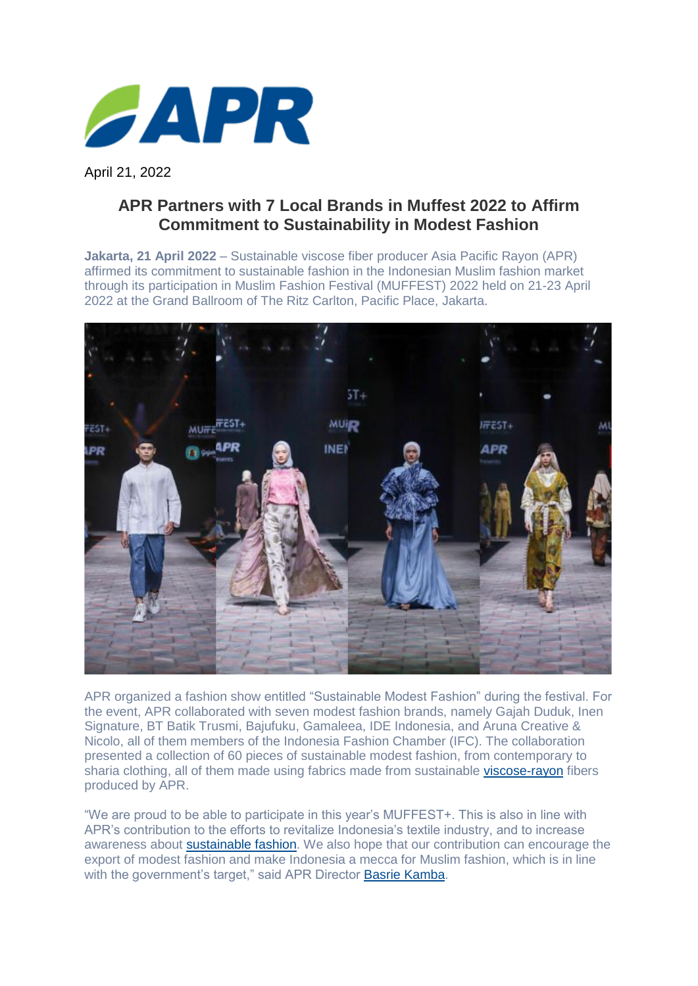

April 21, 2022

## **APR Partners with 7 Local Brands in Muffest 2022 to Affirm Commitment to Sustainability in Modest Fashion**

**Jakarta, 21 April 2022** – Sustainable viscose fiber producer Asia Pacific Rayon (APR) affirmed its commitment to sustainable fashion in the Indonesian Muslim fashion market through its participation in Muslim Fashion Festival (MUFFEST) 2022 held on 21-23 April 2022 at the Grand Ballroom of The Ritz Carlton, Pacific Place, Jakarta.



APR organized a fashion show entitled "Sustainable Modest Fashion" during the festival. For the event, APR collaborated with seven modest fashion brands, namely Gajah Duduk, Inen Signature, BT Batik Trusmi, Bajufuku, Gamaleea, IDE Indonesia, and Aruna Creative & Nicolo, all of them members of the Indonesia Fashion Chamber (IFC). The collaboration presented a collection of 60 pieces of sustainable modest fashion, from contemporary to sharia clothing, all of them made using fabrics made from sustainable [viscose-rayon](https://www.aprayon.com/en/about-viscose/) fibers produced by APR.

"We are proud to be able to participate in this year's MUFFEST+. This is also in line with APR's contribution to the efforts to revitalize Indonesia's textile industry, and to increase awareness about [sustainable fashion.](https://www.aprayon.com/en/articles/what-is-sustainable-fashion/) We also hope that our contribution can encourage the export of modest fashion and make Indonesia a mecca for Muslim fashion, which is in line with the government's target," said APR Director [Basrie Kamba.](https://www.aprayon.com/en/people/the-importance-of-supporting-textiles-and-fashion-by-indonesians-for-indonesians/)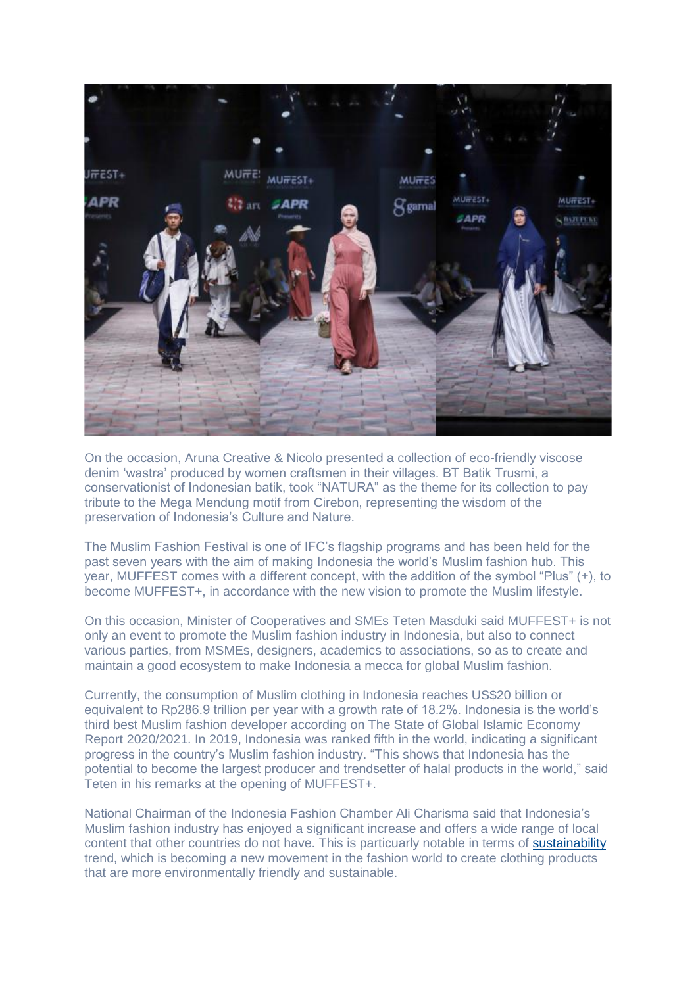

On the occasion, Aruna Creative & Nicolo presented a collection of eco-friendly viscose denim 'wastra' produced by women craftsmen in their villages. BT Batik Trusmi, a conservationist of Indonesian batik, took "NATURA" as the theme for its collection to pay tribute to the Mega Mendung motif from Cirebon, representing the wisdom of the preservation of Indonesia's Culture and Nature.

The Muslim Fashion Festival is one of IFC's flagship programs and has been held for the past seven years with the aim of making Indonesia the world's Muslim fashion hub. This year, MUFFEST comes with a different concept, with the addition of the symbol "Plus" (+), to become MUFFEST+, in accordance with the new vision to promote the Muslim lifestyle.

On this occasion, Minister of Cooperatives and SMEs Teten Masduki said MUFFEST+ is not only an event to promote the Muslim fashion industry in Indonesia, but also to connect various parties, from MSMEs, designers, academics to associations, so as to create and maintain a good ecosystem to make Indonesia a mecca for global Muslim fashion.

Currently, the consumption of Muslim clothing in Indonesia reaches US\$20 billion or equivalent to Rp286.9 trillion per year with a growth rate of 18.2%. Indonesia is the world's third best Muslim fashion developer according on The State of Global Islamic Economy Report 2020/2021. In 2019, Indonesia was ranked fifth in the world, indicating a significant progress in the country's Muslim fashion industry. "This shows that Indonesia has the potential to become the largest producer and trendsetter of halal products in the world," said Teten in his remarks at the opening of MUFFEST+.

National Chairman of the Indonesia Fashion Chamber Ali Charisma said that Indonesia's Muslim fashion industry has enjoyed a significant increase and offers a wide range of local content that other countries do not have. This is particuarly notable in terms of [sustainability](https://www.aprayon.com/en/sustainability/) trend, which is becoming a new movement in the fashion world to create clothing products that are more environmentally friendly and sustainable.